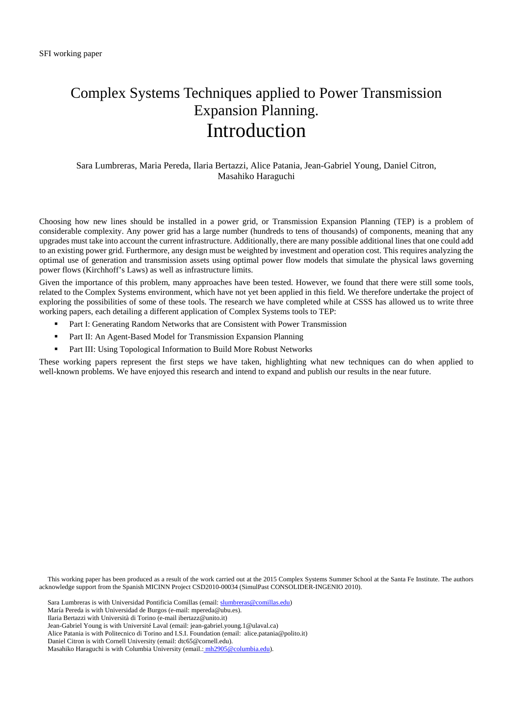## Complex Systems Techniques applied to Power Transmission Expansion Planning. Introduction

## Sara Lumbreras, Maria Pereda, Ilaria Bertazzi, Alice Patania, Jean-Gabriel Young, Daniel Citron, Masahiko Haraguchi

Choosing how new lines should be installed in a power grid, or Transmission Expansion Planning (TEP) is a problem of considerable complexity. Any power grid has a large number (hundreds to tens of thousands) of components, meaning that any upgrades must take into account the current infrastructure. Additionally, there are many possible additional lines that one could add to an existing power grid. Furthermore, any design must be weighted by investment and operation cost. This requires analyzing the optimal use of generation and transmission assets using optimal power flow models that simulate the physical laws governing power flows (Kirchhoff's Laws) as well as infrastructure limits.

Given the importance of this problem, many approaches have been tested. However, we found that there were still some tools, related to the Complex Systems environment, which have not yet been applied in this field. We therefore undertake the project of exploring the possibilities of some of these tools. The research we have completed while at CSSS has allowed us to write three working papers, each detailing a different application of Complex Systems tools to TEP:

- Part I: Generating Random Networks that are Consistent with Power Transmission
- **Part II: An Agent-Based Model for Transmission Expansion Planning**
- Part III: Using Topological Information to Build More Robust Networks

These working papers represent the first steps we have taken, highlighting what new techniques can do when applied to well-known problems. We have enjoyed this research and intend to expand and publish our results in the near future.

This working paper has been produced as a result of the work carried out at the 2015 Complex Systems Summer School at the Santa Fe Institute. The authors acknowledge support from the Spanish MICINN Project CSD2010-00034 (SimulPast CONSOLIDER-INGENIO 2010).

Sara Lumbreras is with Universidad Pontificia Comillas (email: slumbreras@comillas.edu)

María Pereda is with Universidad de Burgos (e-mail: mpereda@ubu.es).

Ilaria Bertazzi with Università di Torino (e-mail ibertazz@unito.it)

Jean-Gabriel Young is with Université Laval (email: jean-gabriel.young.1@ulaval.ca) Alice Patania is with Politecnico di Torino and I.S.I. Foundation (email: alice.patania@polito.it)

Daniel Citron is with Cornell University (email: dtc65@cornell.edu).

Masahiko Haraguchi is with Columbia University (email.: mh2905@columbia.edu).